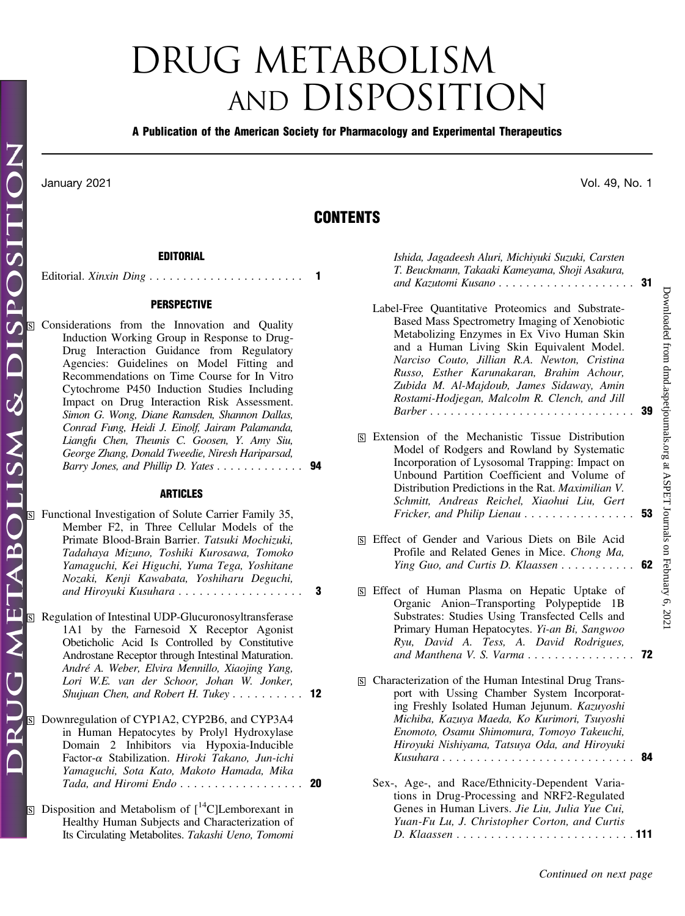# DRUG METABOLISM AND DISPOSITION

### A Publication of the American Society for Pharmacology and Experimental Therapeutics

OSITI

SP

G METABOLISM & DI

# **CONTENTS**

# EDITORIAL

Editorial. Xinxin Ding ....................... 1

#### PERSPECTIVE

| S Considerations from the Innovation and Quality |  |
|--------------------------------------------------|--|
| Induction Working Group in Response to Drug-     |  |
| Drug Interaction Guidance from Regulatory        |  |
| Agencies: Guidelines on Model Fitting and        |  |
| Recommendations on Time Course for In Vitro      |  |
| Cytochrome P450 Induction Studies Including      |  |
| Impact on Drug Interaction Risk Assessment.      |  |
| Simon G. Wong, Diane Ramsden, Shannon Dallas,    |  |
| Conrad Fung, Heidi J. Einolf, Jairam Palamanda,  |  |
| Liangfu Chen, Theunis C. Goosen, Y. Amy Siu,     |  |
| George Zhang, Donald Tweedie, Niresh Hariparsad, |  |
| Barry Jones, and Phillip D. Yates 94             |  |
|                                                  |  |

### ARTICLES

|                         | $\overline{s}$ Functional Investigation of Solute Carrier Family 35,<br>Member F2, in Three Cellular Models of the<br>Primate Blood-Brain Barrier. Tatsuki Mochizuki,<br>Tadahaya Mizuno, Toshiki Kurosawa, Tomoko<br>Yamaguchi, Kei Higuchi, Yuma Tega, Yoshitane<br>Nozaki, Kenji Kawabata, Yoshiharu Deguchi,<br>and Hiroyuki Kusuhara               | 3 |
|-------------------------|---------------------------------------------------------------------------------------------------------------------------------------------------------------------------------------------------------------------------------------------------------------------------------------------------------------------------------------------------------|---|
| $\overline{\mathbf{s}}$ | Regulation of Intestinal UDP-Glucuronosyltransferase<br>1A1 by the Farnesoid X Receptor Agonist<br>Obeticholic Acid Is Controlled by Constitutive<br>Androstane Receptor through Intestinal Maturation.<br>André A. Weber, Elvira Mennillo, Xiaojing Yang,<br>Lori W.E. van der Schoor, Johan W. Jonker,<br><i>Shujuan Chen, and Robert H. Tukey</i> 12 |   |
|                         | S Downregulation of CYP1A2, CYP2B6, and CYP3A4<br>in Human Hepatocytes by Prolyl Hydroxylase<br>Domain 2 Inhibitors via Hypoxia-Inducible<br>Factor- $\alpha$ Stabilization. Hiroki Takano, Jun-ichi<br>Yamaguchi, Sota Kato, Makoto Hamada, Mika<br>Tada, and Hiromi Endo 20                                                                           |   |
|                         | <b>S</b> Disposition and Metabolism of $\binom{14}{1}$ Lemborexant in<br>Healthy Human Subjects and Characterization of<br>Its Circulating Metabolites. Takashi Ueno, Tomomi                                                                                                                                                                            |   |

| T. Beuckmann, Takaaki Kameyama, Shoji Asakura,    |  |  |
|---------------------------------------------------|--|--|
|                                                   |  |  |
| Label-Free Quantitative Proteomics and Substrate- |  |  |
| Based Mass Spectrometry Imaging of Xenobiotic     |  |  |
| Metabolizing Enzymes in Ex Vivo Human Skin        |  |  |
| and a Human Living Skin Equivalent Model.         |  |  |
| Narciso Couto, Jillian R.A. Newton, Cristina      |  |  |
| Russo, Esther Karunakaran, Brahim Achour,         |  |  |
| Zubida M. Al-Majdoub, James Sidaway, Amin         |  |  |

Rostami-Hodjegan, Malcolm R. Clench, and Jill Barber .............................. 39

Ishida, Jagadeesh Aluri, Michiyuki Suzuki, Carsten

| <b>S</b> Extension of the Mechanistic Tissue Distribution  |  |
|------------------------------------------------------------|--|
| Model of Rodgers and Rowland by Systematic                 |  |
| Incorporation of Lysosomal Trapping: Impact on             |  |
| Unbound Partition Coefficient and Volume of                |  |
| Distribution Predictions in the Rat. <i>Maximilian V</i> . |  |
| Schmitt, Andreas Reichel, Xiaohui Liu, Gert                |  |
|                                                            |  |

- s Effect of Gender and Various Diets on Bile Acid Profile and Related Genes in Mice. Chong Ma, Ying Guo, and Curtis D. Klaassen .............. 62
- s Effect of Human Plasma on Hepatic Uptake of Organic Anion–Transporting Polypeptide 1B Substrates: Studies Using Transfected Cells and Primary Human Hepatocytes. Yi-an Bi, Sangwoo Ryu, David A. Tess, A. David Rodrigues, and Manthena V. S. Varma  $\ldots \ldots \ldots \ldots$  72
- **S** Characterization of the Human Intestinal Drug Transport with Ussing Chamber System Incorporating Freshly Isolated Human Jejunum. Kazuyoshi Michiba, Kazuya Maeda, Ko Kurimori, Tsuyoshi Enomoto, Osamu Shimomura, Tomoyo Takeuchi, Hiroyuki Nishiyama, Tatsuya Oda, and Hiroyuki Kusuhara ............................ 84
	- Sex-, Age-, and Race/Ethnicity-Dependent Variations in Drug-Processing and NRF2-Regulated Genes in Human Livers. Jie Liu, Julia Yue Cui, Yuan-Fu Lu, J. Christopher Corton, and Curtis D. Klaassen .......................... 111

Continued on next page

January 2021 Vol. 49, No. 1